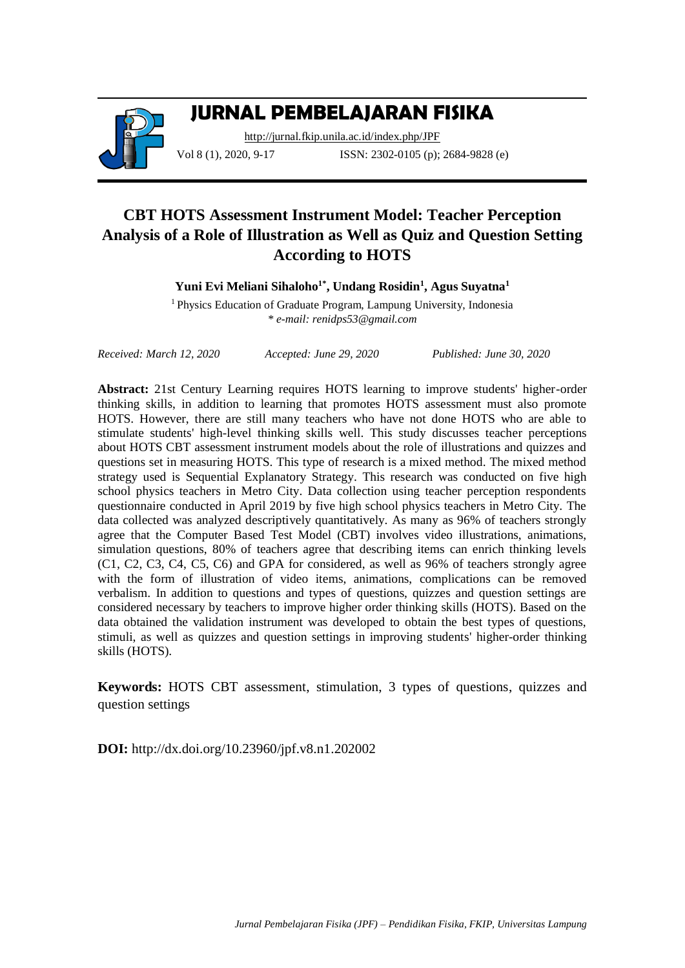

# **JURNAL PEMBELAJARAN FISIKA**

<http://jurnal.fkip.unila.ac.id/index.php/JPF> Vol 8 (1), 2020, 9-17 **ISSN:** 2302-0105 (p); 2684-9828 (e)

# **CBT HOTS Assessment Instrument Model: Teacher Perception Analysis of a Role of Illustration as Well as Quiz and Question Setting According to HOTS**

**Yuni Evi Meliani Sihaloho1\* , Undang Rosidin<sup>1</sup> , Agus Suyatna<sup>1</sup>**

<sup>1</sup>Physics Education of Graduate Program, Lampung University, Indonesia *\* e-mail[: renidps53@gmail.com](mailto:renidps53@gmail.com)*

*Received: March 12, 2020 Accepted: June 29, 2020 Published: June 30, 2020*

**Abstract:** 21st Century Learning requires HOTS learning to improve students' higher-order thinking skills, in addition to learning that promotes HOTS assessment must also promote HOTS. However, there are still many teachers who have not done HOTS who are able to stimulate students' high-level thinking skills well. This study discusses teacher perceptions about HOTS CBT assessment instrument models about the role of illustrations and quizzes and questions set in measuring HOTS. This type of research is a mixed method. The mixed method strategy used is Sequential Explanatory Strategy. This research was conducted on five high school physics teachers in Metro City. Data collection using teacher perception respondents questionnaire conducted in April 2019 by five high school physics teachers in Metro City. The data collected was analyzed descriptively quantitatively. As many as 96% of teachers strongly agree that the Computer Based Test Model (CBT) involves video illustrations, animations, simulation questions, 80% of teachers agree that describing items can enrich thinking levels (C1, C2, C3, C4, C5, C6) and GPA for considered, as well as 96% of teachers strongly agree with the form of illustration of video items, animations, complications can be removed verbalism. In addition to questions and types of questions, quizzes and question settings are considered necessary by teachers to improve higher order thinking skills (HOTS). Based on the data obtained the validation instrument was developed to obtain the best types of questions, stimuli, as well as quizzes and question settings in improving students' higher-order thinking skills (HOTS).

**Keywords:** HOTS CBT assessment, stimulation, 3 types of questions, quizzes and question settings

**DOI:** http://dx.doi.org/10.23960/jpf.v8.n1.202002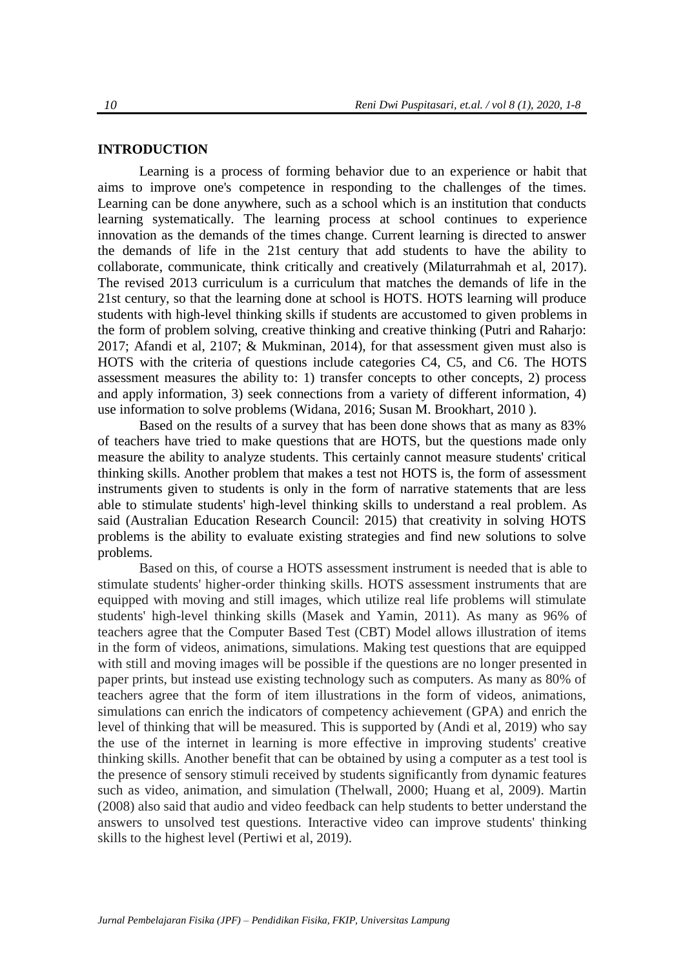## **INTRODUCTION**

Learning is a process of forming behavior due to an experience or habit that aims to improve one's competence in responding to the challenges of the times. Learning can be done anywhere, such as a school which is an institution that conducts learning systematically. The learning process at school continues to experience innovation as the demands of the times change. Current learning is directed to answer the demands of life in the 21st century that add students to have the ability to collaborate, communicate, think critically and creatively (Milaturrahmah et al, 2017). The revised 2013 curriculum is a curriculum that matches the demands of life in the 21st century, so that the learning done at school is HOTS. HOTS learning will produce students with high-level thinking skills if students are accustomed to given problems in the form of problem solving, creative thinking and creative thinking (Putri and Raharjo: 2017; Afandi et al, 2107; & Mukminan, 2014), for that assessment given must also is HOTS with the criteria of questions include categories C4, C5, and C6. The HOTS assessment measures the ability to: 1) transfer concepts to other concepts, 2) process and apply information, 3) seek connections from a variety of different information, 4) use information to solve problems (Widana, 2016; Susan M. Brookhart, 2010 ).

Based on the results of a survey that has been done shows that as many as 83% of teachers have tried to make questions that are HOTS, but the questions made only measure the ability to analyze students. This certainly cannot measure students' critical thinking skills. Another problem that makes a test not HOTS is, the form of assessment instruments given to students is only in the form of narrative statements that are less able to stimulate students' high-level thinking skills to understand a real problem. As said (Australian Education Research Council: 2015) that creativity in solving HOTS problems is the ability to evaluate existing strategies and find new solutions to solve problems.

Based on this, of course a HOTS assessment instrument is needed that is able to stimulate students' higher-order thinking skills. HOTS assessment instruments that are equipped with moving and still images, which utilize real life problems will stimulate students' high-level thinking skills (Masek and Yamin, 2011). As many as 96% of teachers agree that the Computer Based Test (CBT) Model allows illustration of items in the form of videos, animations, simulations. Making test questions that are equipped with still and moving images will be possible if the questions are no longer presented in paper prints, but instead use existing technology such as computers. As many as 80% of teachers agree that the form of item illustrations in the form of videos, animations, simulations can enrich the indicators of competency achievement (GPA) and enrich the level of thinking that will be measured. This is supported by (Andi et al, 2019) who say the use of the internet in learning is more effective in improving students' creative thinking skills. Another benefit that can be obtained by using a computer as a test tool is the presence of sensory stimuli received by students significantly from dynamic features such as video, animation, and simulation (Thelwall, 2000; Huang et al, 2009). Martin (2008) also said that audio and video feedback can help students to better understand the answers to unsolved test questions. Interactive video can improve students' thinking skills to the highest level (Pertiwi et al, 2019).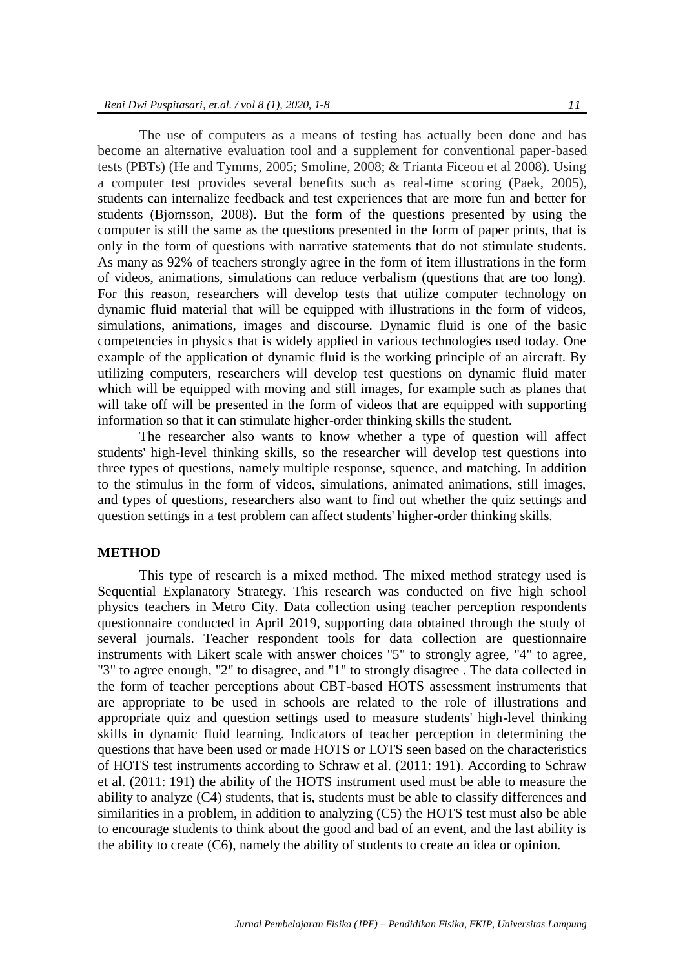The use of computers as a means of testing has actually been done and has become an alternative evaluation tool and a supplement for conventional paper-based tests (PBTs) (He and Tymms, 2005; Smoline, 2008; & Trianta Ficeou et al 2008). Using a computer test provides several benefits such as real-time scoring (Paek, 2005), students can internalize feedback and test experiences that are more fun and better for students (Bjornsson, 2008). But the form of the questions presented by using the computer is still the same as the questions presented in the form of paper prints, that is only in the form of questions with narrative statements that do not stimulate students. As many as 92% of teachers strongly agree in the form of item illustrations in the form of videos, animations, simulations can reduce verbalism (questions that are too long). For this reason, researchers will develop tests that utilize computer technology on dynamic fluid material that will be equipped with illustrations in the form of videos, simulations, animations, images and discourse. Dynamic fluid is one of the basic competencies in physics that is widely applied in various technologies used today. One example of the application of dynamic fluid is the working principle of an aircraft. By utilizing computers, researchers will develop test questions on dynamic fluid mater which will be equipped with moving and still images, for example such as planes that will take off will be presented in the form of videos that are equipped with supporting information so that it can stimulate higher-order thinking skills the student.

The researcher also wants to know whether a type of question will affect students' high-level thinking skills, so the researcher will develop test questions into three types of questions, namely multiple response, squence, and matching. In addition to the stimulus in the form of videos, simulations, animated animations, still images, and types of questions, researchers also want to find out whether the quiz settings and question settings in a test problem can affect students' higher-order thinking skills.

# **METHOD**

This type of research is a mixed method. The mixed method strategy used is Sequential Explanatory Strategy. This research was conducted on five high school physics teachers in Metro City. Data collection using teacher perception respondents questionnaire conducted in April 2019, supporting data obtained through the study of several journals. Teacher respondent tools for data collection are questionnaire instruments with Likert scale with answer choices "5" to strongly agree, "4" to agree, "3" to agree enough, "2" to disagree, and "1" to strongly disagree . The data collected in the form of teacher perceptions about CBT-based HOTS assessment instruments that are appropriate to be used in schools are related to the role of illustrations and appropriate quiz and question settings used to measure students' high-level thinking skills in dynamic fluid learning. Indicators of teacher perception in determining the questions that have been used or made HOTS or LOTS seen based on the characteristics of HOTS test instruments according to Schraw et al. (2011: 191). According to Schraw et al. (2011: 191) the ability of the HOTS instrument used must be able to measure the ability to analyze (C4) students, that is, students must be able to classify differences and similarities in a problem, in addition to analyzing (C5) the HOTS test must also be able to encourage students to think about the good and bad of an event, and the last ability is the ability to create (C6), namely the ability of students to create an idea or opinion.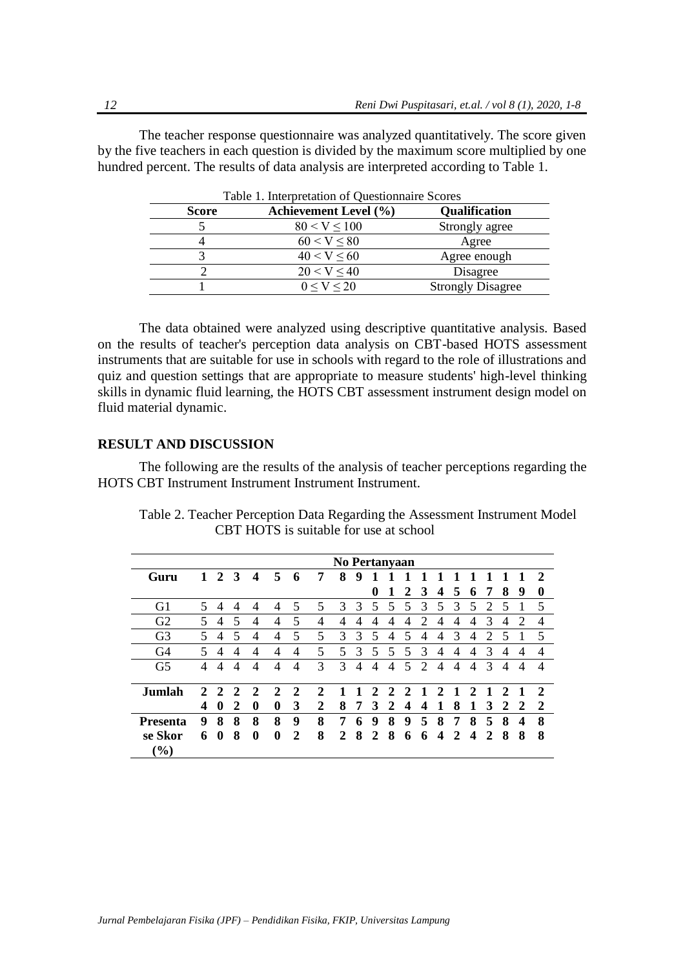The teacher response questionnaire was analyzed quantitatively. The score given by the five teachers in each question is divided by the maximum score multiplied by one hundred percent. The results of data analysis are interpreted according to Table 1.

| <b>Achievement Level (%)</b> | <b>Qualification</b>     |
|------------------------------|--------------------------|
| 80 < V < 100                 | Strongly agree           |
| 60 < V < 80                  | Agree                    |
| 40 < V < 60                  | Agree enough             |
| 20 < V < 40                  | Disagree                 |
| 0 < V < 20                   | <b>Strongly Disagree</b> |
|                              |                          |

Table 1. Interpretation of Questionnaire Scores

The data obtained were analyzed using descriptive quantitative analysis. Based on the results of teacher's perception data analysis on CBT-based HOTS assessment instruments that are suitable for use in schools with regard to the role of illustrations and quiz and question settings that are appropriate to measure students' high-level thinking skills in dynamic fluid learning, the HOTS CBT assessment instrument design model on fluid material dynamic.

## **RESULT AND DISCUSSION**

The following are the results of the analysis of teacher perceptions regarding the HOTS CBT Instrument Instrument Instrument Instrument.

|                                         | No Pertanyaan               |              |               |                          |                             |   |             |   |                          |   |               |                          |                             |                          |                          |                             |                             |                          |              |                |
|-----------------------------------------|-----------------------------|--------------|---------------|--------------------------|-----------------------------|---|-------------|---|--------------------------|---|---------------|--------------------------|-----------------------------|--------------------------|--------------------------|-----------------------------|-----------------------------|--------------------------|--------------|----------------|
| Guru                                    |                             | 2            | 3             | $\boldsymbol{4}$         | 5                           | 6 | 7           | 8 | 9                        |   |               |                          |                             |                          |                          |                             |                             |                          |              | $\mathcal{D}$  |
|                                         |                             |              |               |                          |                             |   |             |   |                          | 0 | 1             | 2                        | 3                           | $\boldsymbol{4}$         | 5                        | 6                           | 7                           | 8                        | 9            | 0              |
| G <sub>1</sub>                          | 5                           | 4            | 4             | 4                        | 4                           | 5 | 5           | 3 | 3                        | 5 | 5.            | 5                        | 3                           | 5                        | 3                        | 5                           | 2                           | 5                        |              | 5              |
| G <sub>2</sub>                          | 5                           | 4            | 5             | $\overline{\mathcal{A}}$ | 4                           | 5 | 4           | 4 | $\overline{4}$           | 4 | 4             | $\overline{4}$           | $\mathcal{D}_{\mathcal{A}}$ | $\overline{4}$           | 4                        | 4                           | 3                           | 4                        | 2            | $\overline{4}$ |
| G <sub>3</sub>                          | 5                           | 4            | 5             | $\overline{4}$           | 4                           | 5 | 5           | 3 | 3                        | 5 | 4             | $\overline{\phantom{1}}$ | 4                           | 4                        | 3                        | 4                           | $\mathcal{D}_{\mathcal{L}}$ | 5                        |              | 5              |
| G4                                      | 5                           | 4            | 4             | 4                        | 4                           | 4 | 5           | 5 | 3                        | 5 | 5             | 5                        | 3                           | $\overline{4}$           | 4                        | 4                           | 3                           | 4                        | 4            | 4              |
| G <sub>5</sub>                          | 4                           | 4            | 4             | 4                        | 4                           | 4 | 3           | 3 | $\overline{\mathcal{A}}$ | 4 | 4             | $\leq$                   | $\mathcal{D}$               | $\overline{\mathcal{A}}$ | $\overline{\mathcal{A}}$ | 4                           | $\mathcal{R}$               | $\overline{\mathcal{A}}$ | 4            | 4              |
| Jumlah                                  | $\mathcal{D}_{\mathcal{L}}$ | 2            | $\mathcal{D}$ | 2                        | $\mathcal{D}_{\mathcal{L}}$ | 2 | $\mathbf 2$ |   |                          | 2 | $\mathcal{D}$ | $\mathcal{D}_{\cdot}$    | 1                           | 2                        |                          | $\mathcal{D}_{\mathcal{L}}$ |                             | າ                        |              | $\mathcal{D}$  |
|                                         | 4                           | $\mathbf{0}$ | 2             | $\mathbf{0}$             | 0                           | 3 | 2           | 8 | 7                        | 3 | 2             | $\boldsymbol{4}$         | 4                           |                          | 8                        | 1                           | 3                           | 2                        | <sup>2</sup> | 2              |
| <b>Presenta</b>                         | 9                           | 8            | 8             | 8                        | 8                           | 9 | 8           | 7 | 6                        | 9 | 8             | 9                        | 5                           | 8                        | 7                        | 8                           | 5                           | 8                        | 4            | 8              |
| se Skor<br>$\left( \frac{0}{0} \right)$ | 6                           | $\mathbf{0}$ | 8             | $\bf{0}$                 | 0                           | 2 | 8           | 2 | 8                        | 2 | 8             | 6                        | 6                           | 4                        | 2                        | 4                           | 2                           | 8                        | 8            | 8              |

Table 2. Teacher Perception Data Regarding the Assessment Instrument Model CBT HOTS is suitable for use at school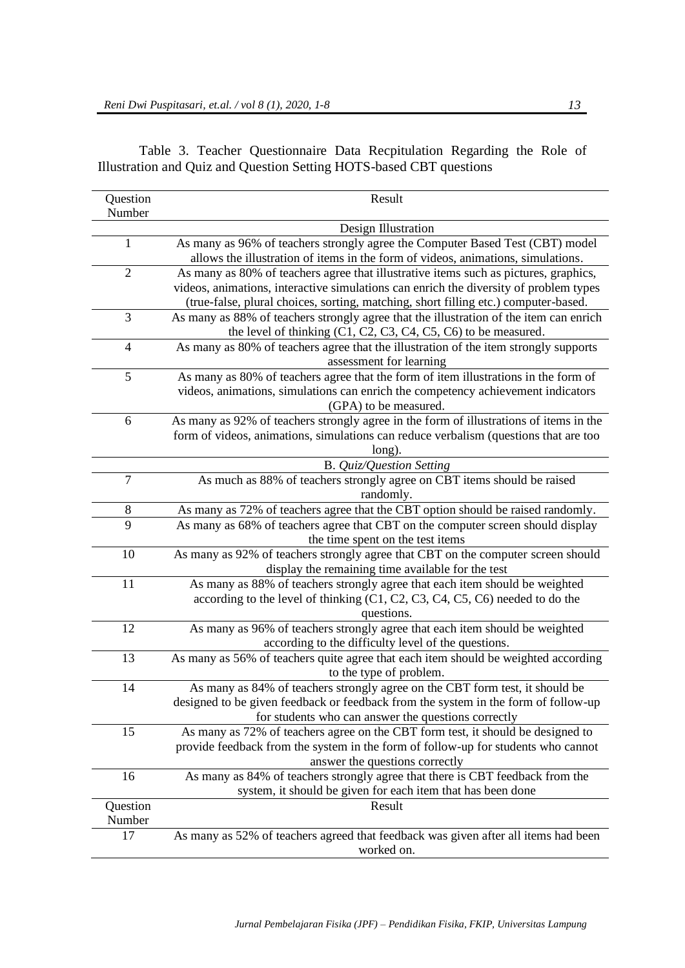| Question       | Result                                                                                 |
|----------------|----------------------------------------------------------------------------------------|
| Number         |                                                                                        |
|                | Design Illustration                                                                    |
| $\mathbf{1}$   | As many as 96% of teachers strongly agree the Computer Based Test (CBT) model          |
|                | allows the illustration of items in the form of videos, animations, simulations.       |
| $\overline{2}$ | As many as 80% of teachers agree that illustrative items such as pictures, graphics,   |
|                | videos, animations, interactive simulations can enrich the diversity of problem types  |
|                | (true-false, plural choices, sorting, matching, short filling etc.) computer-based.    |
| 3              | As many as 88% of teachers strongly agree that the illustration of the item can enrich |
|                | the level of thinking $(C1, C2, C3, C4, C5, C6)$ to be measured.                       |
| $\overline{4}$ | As many as 80% of teachers agree that the illustration of the item strongly supports   |
|                | assessment for learning                                                                |
| 5              | As many as 80% of teachers agree that the form of item illustrations in the form of    |
|                | videos, animations, simulations can enrich the competency achievement indicators       |
|                | (GPA) to be measured.                                                                  |
| 6              | As many as 92% of teachers strongly agree in the form of illustrations of items in the |
|                | form of videos, animations, simulations can reduce verbalism (questions that are too   |
|                | long).                                                                                 |
|                | B. Quiz/Question Setting                                                               |
| $\overline{7}$ | As much as 88% of teachers strongly agree on CBT items should be raised                |
|                | randomly.                                                                              |
| 8              | As many as 72% of teachers agree that the CBT option should be raised randomly.        |
| 9              | As many as 68% of teachers agree that CBT on the computer screen should display        |
|                | the time spent on the test items                                                       |
| 10             | As many as 92% of teachers strongly agree that CBT on the computer screen should       |
|                | display the remaining time available for the test                                      |
| 11             | As many as 88% of teachers strongly agree that each item should be weighted            |
|                | according to the level of thinking (C1, C2, C3, C4, C5, C6) needed to do the           |
|                | questions.                                                                             |
| 12             | As many as 96% of teachers strongly agree that each item should be weighted            |
|                | according to the difficulty level of the questions.                                    |
| 13             | As many as 56% of teachers quite agree that each item should be weighted according     |
|                | to the type of problem.                                                                |
| 14             | As many as 84% of teachers strongly agree on the CBT form test, it should be           |
|                | designed to be given feedback or feedback from the system in the form of follow-up     |
|                | for students who can answer the questions correctly                                    |
| 15             | As many as 72% of teachers agree on the CBT form test, it should be designed to        |
|                | provide feedback from the system in the form of follow-up for students who cannot      |
|                | answer the questions correctly                                                         |
| 16             | As many as 84% of teachers strongly agree that there is CBT feedback from the          |
|                | system, it should be given for each item that has been done                            |
| Question       | Result                                                                                 |
| Number         |                                                                                        |
| 17             | As many as 52% of teachers agreed that feedback was given after all items had been     |
|                | worked on.                                                                             |

Table 3. Teacher Questionnaire Data Recpitulation Regarding the Role of Illustration and Quiz and Question Setting HOTS-based CBT questions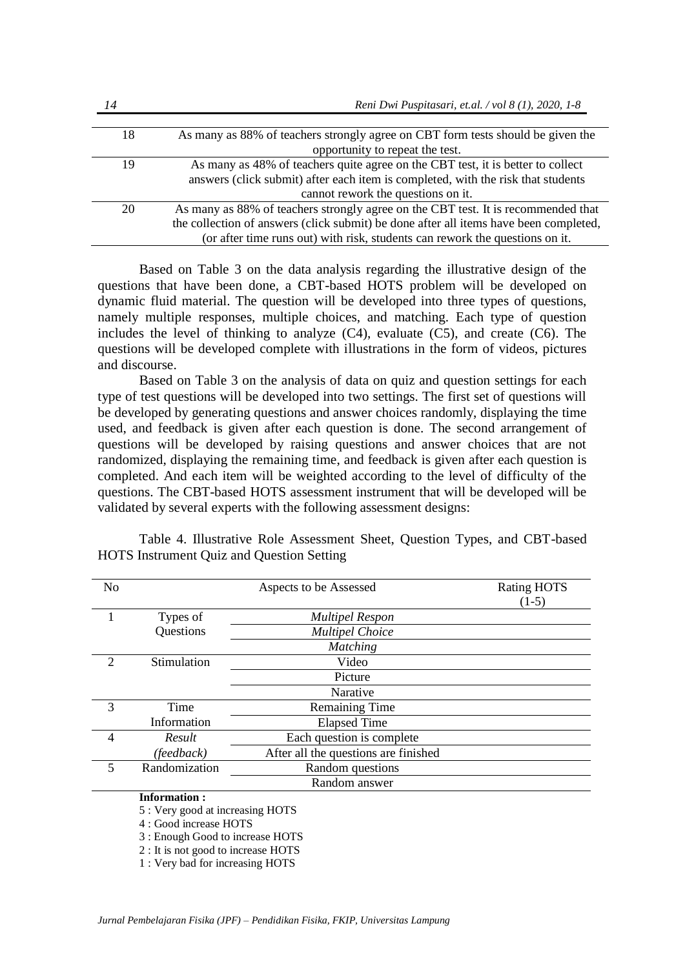| 14 | Reni Dwi Puspitasari, et.al. / vol 8 (1), 2020, 1-8                                   |  |  |  |  |  |  |  |
|----|---------------------------------------------------------------------------------------|--|--|--|--|--|--|--|
|    |                                                                                       |  |  |  |  |  |  |  |
| 18 | As many as 88% of teachers strongly agree on CBT form tests should be given the       |  |  |  |  |  |  |  |
|    | opportunity to repeat the test.                                                       |  |  |  |  |  |  |  |
| 19 | As many as 48% of teachers quite agree on the CBT test, it is better to collect       |  |  |  |  |  |  |  |
|    | answers (click submit) after each item is completed, with the risk that students      |  |  |  |  |  |  |  |
|    | cannot rework the questions on it.                                                    |  |  |  |  |  |  |  |
| 20 | As many as 88% of teachers strongly agree on the CBT test. It is recommended that     |  |  |  |  |  |  |  |
|    | the collection of answers (click submit) be done after all items have been completed, |  |  |  |  |  |  |  |
|    | (or after time runs out) with risk, students can rework the questions on it.          |  |  |  |  |  |  |  |

Based on Table 3 on the data analysis regarding the illustrative design of the questions that have been done, a CBT-based HOTS problem will be developed on dynamic fluid material. The question will be developed into three types of questions, namely multiple responses, multiple choices, and matching. Each type of question includes the level of thinking to analyze  $(C4)$ , evaluate  $(C5)$ , and create  $(C6)$ . The questions will be developed complete with illustrations in the form of videos, pictures and discourse.

Based on Table 3 on the analysis of data on quiz and question settings for each type of test questions will be developed into two settings. The first set of questions will be developed by generating questions and answer choices randomly, displaying the time used, and feedback is given after each question is done. The second arrangement of questions will be developed by raising questions and answer choices that are not randomized, displaying the remaining time, and feedback is given after each question is completed. And each item will be weighted according to the level of difficulty of the questions. The CBT-based HOTS assessment instrument that will be developed will be validated by several experts with the following assessment designs:

| N <sub>o</sub> |               | Aspects to be Assessed               | <b>Rating HOTS</b><br>$(1-5)$ |
|----------------|---------------|--------------------------------------|-------------------------------|
|                | Types of      | <b>Multipel Respon</b>               |                               |
|                | Questions     | <b>Multipel Choice</b>               |                               |
|                |               | <b>Matching</b>                      |                               |
| $\mathcal{D}$  | Stimulation   | Video                                |                               |
|                |               | Picture                              |                               |
|                |               | Narative                             |                               |
| $\mathcal{R}$  | Time          | <b>Remaining Time</b>                |                               |
|                | Information   | <b>Elapsed Time</b>                  |                               |
| $\overline{4}$ | Result        | Each question is complete            |                               |
|                | (feedback)    | After all the questions are finished |                               |
| $\overline{5}$ | Randomization | Random questions                     |                               |
|                |               | Random answer                        |                               |

Table 4. Illustrative Role Assessment Sheet, Question Types, and CBT-based HOTS Instrument Quiz and Question Setting

#### **Information :**

5 : Very good at increasing HOTS

4 : Good increase HOTS

3 : Enough Good to increase HOTS

2 : It is not good to increase HOTS

1 : Very bad for increasing HOTS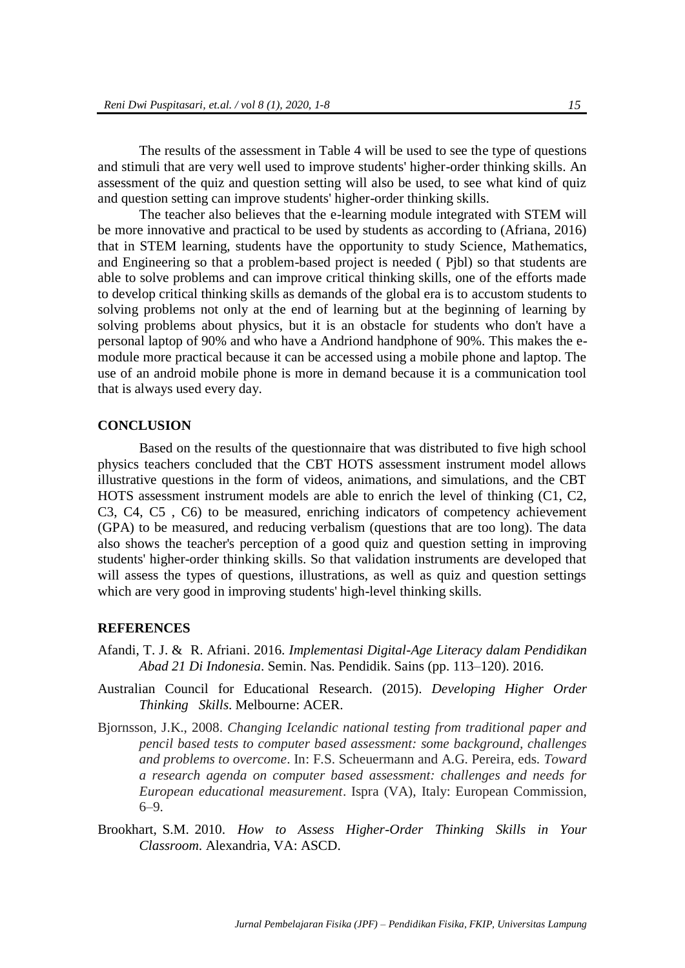The results of the assessment in Table 4 will be used to see the type of questions and stimuli that are very well used to improve students' higher-order thinking skills. An assessment of the quiz and question setting will also be used, to see what kind of quiz and question setting can improve students' higher-order thinking skills.

The teacher also believes that the e-learning module integrated with STEM will be more innovative and practical to be used by students as according to (Afriana, 2016) that in STEM learning, students have the opportunity to study Science, Mathematics, and Engineering so that a problem-based project is needed ( Pjbl) so that students are able to solve problems and can improve critical thinking skills, one of the efforts made to develop critical thinking skills as demands of the global era is to accustom students to solving problems not only at the end of learning but at the beginning of learning by solving problems about physics, but it is an obstacle for students who don't have a personal laptop of 90% and who have a Andriond handphone of 90%. This makes the emodule more practical because it can be accessed using a mobile phone and laptop. The use of an android mobile phone is more in demand because it is a communication tool that is always used every day.

#### **CONCLUSION**

Based on the results of the questionnaire that was distributed to five high school physics teachers concluded that the CBT HOTS assessment instrument model allows illustrative questions in the form of videos, animations, and simulations, and the CBT HOTS assessment instrument models are able to enrich the level of thinking (C1, C2, C3, C4, C5 , C6) to be measured, enriching indicators of competency achievement (GPA) to be measured, and reducing verbalism (questions that are too long). The data also shows the teacher's perception of a good quiz and question setting in improving students' higher-order thinking skills. So that validation instruments are developed that will assess the types of questions, illustrations, as well as quiz and question settings which are very good in improving students' high-level thinking skills.

#### **REFERENCES**

- Afandi, T. J. & R. Afriani. 2016. *Implementasi Digital-Age Literacy dalam Pendidikan Abad 21 Di Indonesia*. Semin. Nas. Pendidik. Sains (pp. 113–120). 2016.
- Australian Council for Educational Research. (2015). *Developing Higher Order Thinking Skills*. Melbourne: ACER.
- Bjornsson, J.K., 2008. *Changing Icelandic national testing from traditional paper and pencil based tests to computer based assessment: some background, challenges and problems to overcome*. In: F.S. Scheuermann and A.G. Pereira, eds. *Toward a research agenda on computer based assessment: challenges and needs for European educational measurement*. Ispra (VA), Italy: European Commission, 6–9.
- Brookhart, S.M. 2010. *How to Assess Higher-Order Thinking Skills in Your Classroom*. Alexandria, VA: ASCD.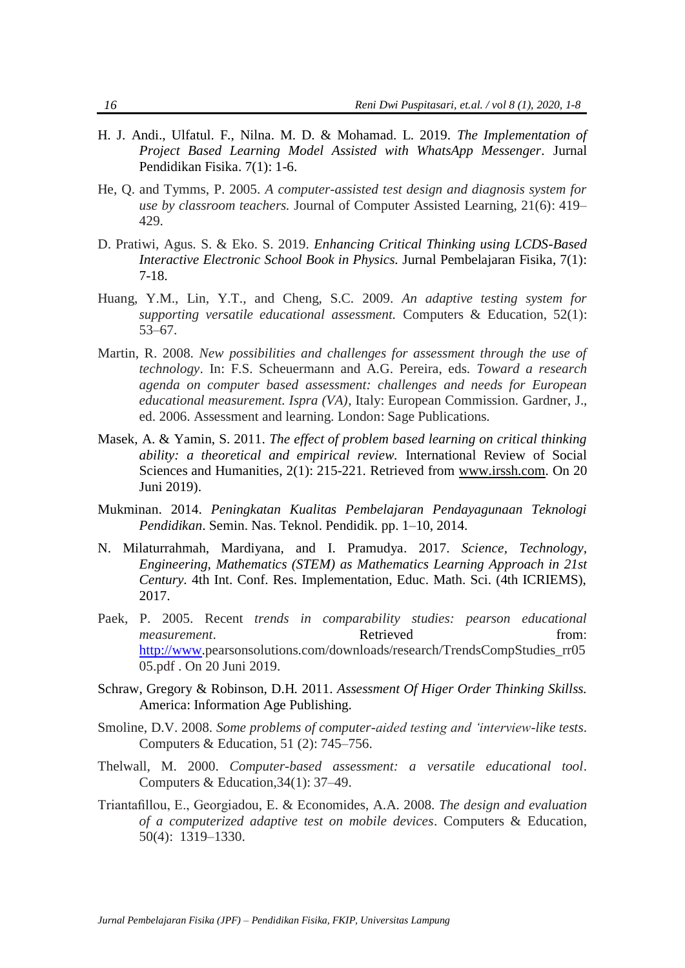- H. J. Andi., Ulfatul. F., Nilna. M. D. & Mohamad. L. 2019. *The Implementation of Project Based Learning Model Assisted with WhatsApp Messenger.* Jurnal Pendidikan Fisika. 7(1): 1-6.
- He, Q. and Tymms, P. 2005. *A computer-assisted test design and diagnosis system for use by classroom teachers.* Journal of Computer Assisted Learning, 21(6): 419– 429.
- D. Pratiwi, Agus. S. & Eko. S. 2019. *Enhancing Critical Thinking using LCDS-Based Interactive Electronic School Book in Physics.* Jurnal Pembelajaran Fisika, 7(1): 7-18.
- Huang, Y.M., Lin, Y.T., and Cheng, S.C. 2009. *An adaptive testing system for supporting versatile educational assessment.* Computers & Education, 52(1): 53–67.
- Martin, R. 2008. *New possibilities and challenges for assessment through the use of technology*. In: F.S. Scheuermann and A.G. Pereira, eds. *Toward a research agenda on computer based assessment: challenges and needs for European educational measurement. Ispra (VA)*, Italy: European Commission. Gardner, J., ed. 2006. Assessment and learning. London: Sage Publications.
- Masek, A. & Yamin, S. 2011. *The effect of problem based learning on critical thinking ability: a theoretical and empirical review.* International Review of Social Sciences and Humanities, 2(1): 215-221. Retrieved from [www.irssh.com.](http://www.irssh.com/) On 20 Juni 2019).
- Mukminan. 2014. *Peningkatan Kualitas Pembelajaran Pendayagunaan Teknologi Pendidikan*. Semin. Nas. Teknol. Pendidik. pp. 1–10, 2014.
- N. Milaturrahmah, Mardiyana, and I. Pramudya. 2017. *Science, Technology, Engineering, Mathematics (STEM) as Mathematics Learning Approach in 21st Century.* 4th Int. Conf. Res. Implementation, Educ. Math. Sci. (4th ICRIEMS), 2017.
- Paek, P. 2005. Recent *trends in comparability studies: pearson educational measurement*. **Retrieved heating from: heating heating heating heating heating heating heating heating heating heating heating heating heating heating heating heating heating heatin** [http://www.](http://www/)pearsonsolutions.com/downloads/research/TrendsCompStudies\_rr05 05.pdf . On 20 Juni 2019.
- Schraw, Gregory & Robinson, D.H*.* 2011. *Assessment Of Higer Order Thinking Skillss.*  America: Information Age Publishing.
- Smoline, D.V. 2008. *Some problems of computer-aided testing and 'interview-like tests*. Computers & Education, 51 (2): 745–756.
- Thelwall, M. 2000. *Computer-based assessment: a versatile educational tool*. Computers & Education,34(1): 37–49.
- Triantafillou, E., Georgiadou, E. & Economides, A.A. 2008. *The design and evaluation of a computerized adaptive test on mobile devices*. Computers & Education, 50(4): 1319–1330.